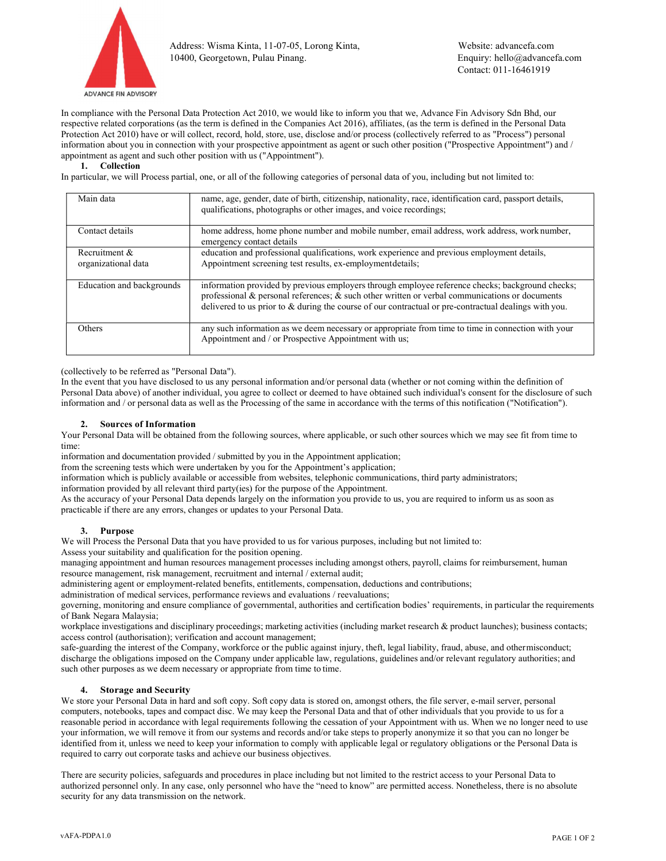

In compliance with the Personal Data Protection Act 2010, we would like to inform you that we, Advance Fin Advisory Sdn Bhd, our respective related corporations (as the term is defined in the Companies Act 2016), affiliates, (as the term is defined in the Personal Data Protection Act 2010) have or will collect, record, hold, store, use, disclose and/or process (collectively referred to as "Process") personal information about you in connection with your prospective appointment as agent or such other position ("Prospective Appointment") and / appointment as agent and such other position with us ("Appointment").

### 1. Collection

In particular, we will Process partial, one, or all of the following categories of personal data of you, including but not limited to:

| Main data                            | name, age, gender, date of birth, citizenship, nationality, race, identification card, passport details,<br>qualifications, photographs or other images, and voice recordings;                                                                                                                                 |
|--------------------------------------|----------------------------------------------------------------------------------------------------------------------------------------------------------------------------------------------------------------------------------------------------------------------------------------------------------------|
| Contact details                      | home address, home phone number and mobile number, email address, work address, work number,<br>emergency contact details                                                                                                                                                                                      |
| Recruitment &<br>organizational data | education and professional qualifications, work experience and previous employment details,<br>Appointment screening test results, ex-employment details;                                                                                                                                                      |
| Education and backgrounds            | information provided by previous employers through employee reference checks; background checks;<br>professional & personal references; & such other written or verbal communications or documents<br>delivered to us prior to $\&$ during the course of our contractual or pre-contractual dealings with you. |
| <b>Others</b>                        | any such information as we deem necessary or appropriate from time to time in connection with your<br>Appointment and / or Prospective Appointment with us;                                                                                                                                                    |

(collectively to be referred as "Personal Data").

In the event that you have disclosed to us any personal information and/or personal data (whether or not coming within the definition of Personal Data above) of another individual, you agree to collect or deemed to have obtained such individual's consent for the disclosure of such information and / or personal data as well as the Processing of the same in accordance with the terms of this notification ("Notification").

#### 2. Sources of Information

Your Personal Data will be obtained from the following sources, where applicable, or such other sources which we may see fit from time to time:

information and documentation provided / submitted by you in the Appointment application;

from the screening tests which were undertaken by you for the Appointment's application;

information which is publicly available or accessible from websites, telephonic communications, third party administrators;

information provided by all relevant third party(ies) for the purpose of the Appointment.

As the accuracy of your Personal Data depends largely on the information you provide to us, you are required to inform us as soon as practicable if there are any errors, changes or updates to your Personal Data.

### 3. Purpose

We will Process the Personal Data that you have provided to us for various purposes, including but not limited to:

Assess your suitability and qualification for the position opening.

managing appointment and human resources management processes including amongst others, payroll, claims for reimbursement, human resource management, risk management, recruitment and internal / external audit;

administering agent or employment-related benefits, entitlements, compensation, deductions and contributions;

administration of medical services, performance reviews and evaluations / reevaluations;

governing, monitoring and ensure compliance of governmental, authorities and certification bodies' requirements, in particular the requirements of Bank Negara Malaysia;

workplace investigations and disciplinary proceedings; marketing activities (including market research & product launches); business contacts; access control (authorisation); verification and account management;

safe-guarding the interest of the Company, workforce or the public against injury, theft, legal liability, fraud, abuse, and other misconduct; discharge the obligations imposed on the Company under applicable law, regulations, guidelines and/or relevant regulatory authorities; and such other purposes as we deem necessary or appropriate from time to time.

### 4. Storage and Security

We store your Personal Data in hard and soft copy. Soft copy data is stored on, amongst others, the file server, e-mail server, personal computers, notebooks, tapes and compact disc. We may keep the Personal Data and that of other individuals that you provide to us for a reasonable period in accordance with legal requirements following the cessation of your Appointment with us. When we no longer need to use your information, we will remove it from our systems and records and/or take steps to properly anonymize it so that you can no longer be identified from it, unless we need to keep your information to comply with applicable legal or regulatory obligations or the Personal Data is required to carry out corporate tasks and achieve our business objectives.

There are security policies, safeguards and procedures in place including but not limited to the restrict access to your Personal Data to authorized personnel only. In any case, only personnel who have the "need to know" are permitted access. Nonetheless, there is no absolute security for any data transmission on the network.